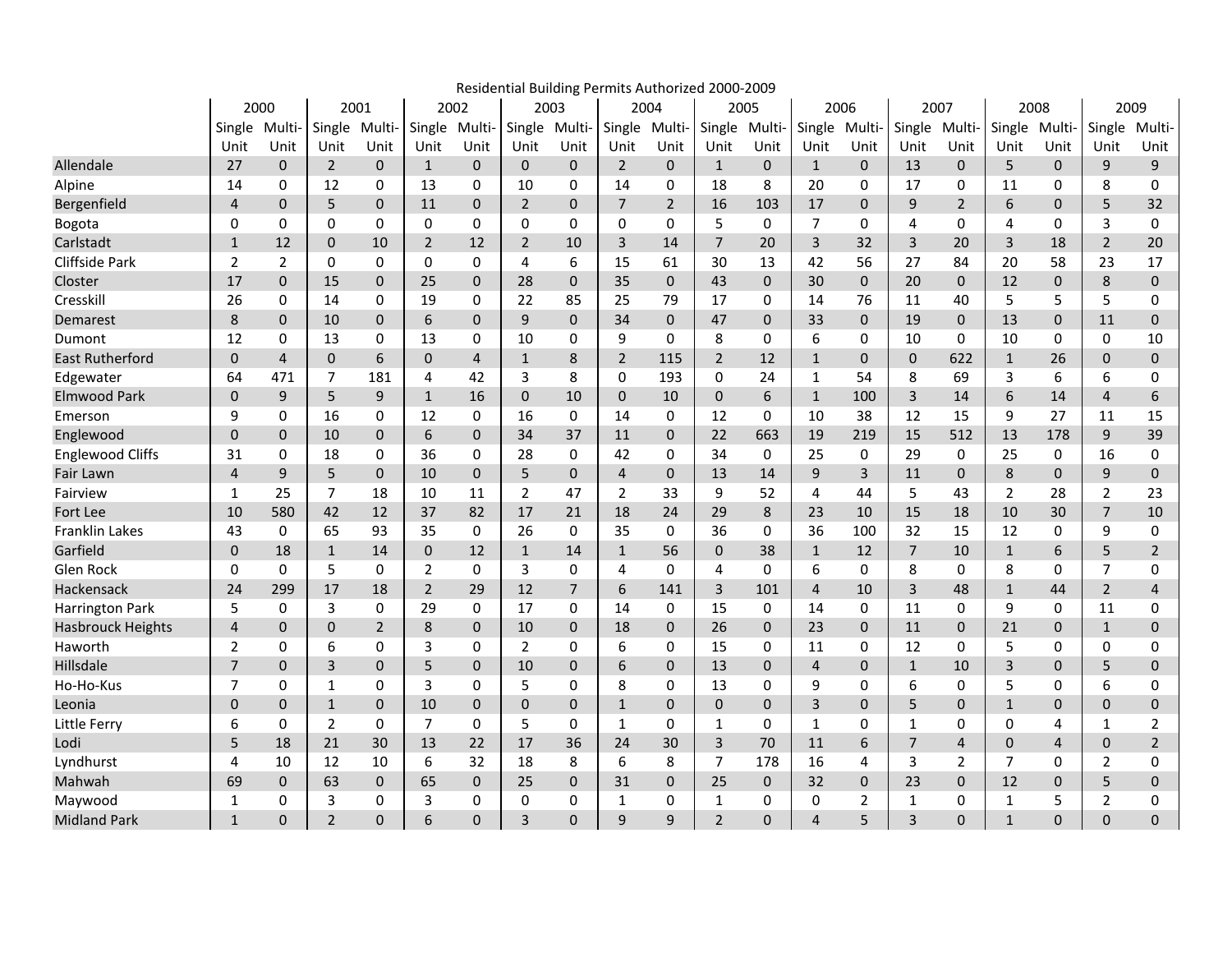|                          |                |                |                          |                |                |             |                |                | Residential Building Permits Authorized 2000-2009 |                |                |              |                |              |                |                |                |              |                |                |
|--------------------------|----------------|----------------|--------------------------|----------------|----------------|-------------|----------------|----------------|---------------------------------------------------|----------------|----------------|--------------|----------------|--------------|----------------|----------------|----------------|--------------|----------------|----------------|
|                          |                | 2000           |                          | 2001           |                | 2002        | 2003           |                |                                                   | 2004           |                | 2005         | 2006           |              | 2007           |                | 2008           |              |                | 2009           |
|                          |                | Single Multi-  | Single                   | Multi-         | Single         | Multi       |                | Single Multi-  | Single Multi-                                     |                | Single         | Multi-       | Single Multi-  |              | Single         | Multi-         | Single         | Multi-       | Single         | Multi-         |
|                          | Unit           | Unit           | Unit                     | Unit           | Unit           | Unit        | Unit           | Unit           | Unit                                              | Unit           | Unit           | Unit         | Unit           | Unit         | Unit           | Unit           | Unit           | Unit         | Unit           | Unit           |
| Allendale                | 27             | $\mathbf{0}$   | 2                        | 0              | $\mathbf{1}$   | $\mathbf 0$ | $\mathbf{0}$   | $\mathbf 0$    | $\overline{2}$                                    | $\mathbf{0}$   | $\mathbf{1}$   | $\mathbf{0}$ | $\mathbf{1}$   | 0            | 13             | 0              | 5              | 0            | 9              | 9              |
| Alpine                   | 14             | 0              | 12                       | 0              | 13             | 0           | 10             | 0              | 14                                                | 0              | 18             | 8            | 20             | 0            | 17             | 0              | 11             | 0            | 8              | 0              |
| Bergenfield              | $\overline{4}$ | $\mathbf{0}$   | 5                        | 0              | 11             | $\mathbf 0$ | $\overline{2}$ | $\pmb{0}$      | $\overline{7}$                                    | $\overline{2}$ | 16             | 103          | 17             | $\mathbf{0}$ | 9              | $\overline{2}$ | 6              | 0            | 5              | 32             |
| Bogota                   | 0              | 0              | 0                        | 0              | 0              | 0           | $\mathbf{0}$   | 0              | 0                                                 | 0              | 5              | $\Omega$     | $\overline{7}$ | 0            | 4              | 0              | 4              | 0            | 3              | 0              |
| Carlstadt                | $\mathbf{1}$   | 12             | $\mathbf{0}$             | 10             | $\overline{2}$ | 12          | $\overline{2}$ | 10             | 3                                                 | 14             | $\overline{7}$ | 20           | 3              | 32           | 3              | 20             | 3              | 18           | 2              | 20             |
| <b>Cliffside Park</b>    | $\overline{2}$ | $\overline{2}$ | $\Omega$                 | $\Omega$       | 0              | 0           | 4              | 6              | 15                                                | 61             | 30             | 13           | 42             | 56           | 27             | 84             | 20             | 58           | 23             | 17             |
| Closter                  | 17             | $\Omega$       | 15                       | 0              | 25             | 0           | 28             | $\pmb{0}$      | 35                                                | $\pmb{0}$      | 43             | $\Omega$     | 30             | 0            | 20             | 0              | 12             | 0            | 8              | $\pmb{0}$      |
| Cresskill                | 26             | 0              | 14                       | 0              | 19             | 0           | 22             | 85             | 25                                                | 79             | 17             | 0            | 14             | 76           | 11             | 40             | 5              | 5            | 5              | 0              |
| Demarest                 | 8              | $\mathbf{0}$   | 10                       | 0              | 6              | 0           | 9              | $\pmb{0}$      | 34                                                | $\mathbf{0}$   | 47             | $\mathbf{0}$ | 33             | $\mathbf 0$  | 19             | $\mathbf{0}$   | 13             | 0            | 11             | $\mathbf 0$    |
| Dumont                   | 12             | 0              | 13                       | 0              | 13             | 0           | 10             | 0              | 9                                                 | 0              | 8              | 0            | 6              | 0            | 10             | 0              | 10             | 0            | 0              | 10             |
| <b>East Rutherford</b>   | 0              | 4              | $\mathbf 0$              | 6              | 0              | 4           | $\mathbf{1}$   | $\bf 8$        | $\overline{2}$                                    | 115            | $\overline{2}$ | 12           | $\mathbf{1}$   | 0            | 0              | 622            | $\mathbf{1}$   | 26           | $\mathbf 0$    | $\pmb{0}$      |
| Edgewater                | 64             | 471            | $\overline{7}$           | 181            | 4              | 42          | 3              | 8              | 0                                                 | 193            | 0              | 24           | 1              | 54           | 8              | 69             | 3              | 6            | 6              | 0              |
| <b>Elmwood Park</b>      | 0              | 9              | 5                        | 9              | $\mathbf{1}$   | 16          | $\mathbf{0}$   | 10             | $\mathbf 0$                                       | 10             | 0              | 6            | $\mathbf{1}$   | 100          | 3              | 14             | 6              | 14           | $\overline{4}$ | 6              |
| Emerson                  | 9              | 0              | 16                       | 0              | 12             | 0           | 16             | 0              | 14                                                | 0              | 12             | 0            | 10             | 38           | 12             | 15             | 9              | 27           | 11             | 15             |
| Englewood                | 0              | 0              | 10                       | 0              | 6              | 0           | 34             | 37             | 11                                                | $\mathbf{0}$   | 22             | 663          | 19             | 219          | 15             | 512            | 13             | 178          | 9              | 39             |
| <b>Englewood Cliffs</b>  | 31             | 0              | 18                       | 0              | 36             | 0           | 28             | 0              | 42                                                | 0              | 34             | 0            | 25             | 0            | 29             | 0              | 25             | 0            | 16             | 0              |
| Fair Lawn                | 4              | 9              | 5                        | 0              | 10             | $\mathbf 0$ | 5              | $\mathbf{0}$   | $\overline{4}$                                    | $\mathbf{0}$   | 13             | 14           | 9              | 3            | 11             | 0              | 8              | 0            | 9              | $\mathbf{0}$   |
| Fairview                 | 1              | 25             | $\overline{7}$           | 18             | 10             | 11          | 2              | 47             | $\overline{2}$                                    | 33             | 9              | 52           | 4              | 44           | 5              | 43             | $\overline{2}$ | 28           | 2              | 23             |
| Fort Lee                 | 10             | 580            | 42                       | 12             | 37             | 82          | 17             | 21             | 18                                                | 24             | 29             | 8            | 23             | 10           | 15             | 18             | 10             | 30           | $\overline{7}$ | 10             |
| <b>Franklin Lakes</b>    | 43             | $\mathbf{0}$   | 65                       | 93             | 35             | 0           | 26             | 0              | 35                                                | $\Omega$       | 36             | 0            | 36             | 100          | 32             | 15             | 12             | $\Omega$     | 9              | 0              |
| Garfield                 | $\mathbf{0}$   | 18             | $\mathbf{1}$             | 14             | 0              | 12          | $\mathbf{1}$   | 14             | $\mathbf{1}$                                      | 56             | $\mathbf{0}$   | 38           | $\mathbf{1}$   | 12           | $\overline{7}$ | 10             | $\mathbf{1}$   | 6            | 5              | $\overline{2}$ |
| Glen Rock                | 0              | $\mathbf{0}$   | 5                        | 0              | 2              | $\Omega$    | 3              | 0              | 4                                                 | 0              | 4              | $\Omega$     | 6              | 0            | 8              | 0              | 8              | $\Omega$     | $\overline{7}$ | 0              |
| Hackensack               | 24             | 299            | 17                       | 18             | $\overline{2}$ | 29          | 12             | $\overline{7}$ | 6                                                 | 141            | 3              | 101          | $\overline{4}$ | 10           | 3              | 48             | $\mathbf{1}$   | 44           | $\overline{2}$ | $\overline{4}$ |
| Harrington Park          | 5              | $\mathbf{0}$   | 3                        | $\Omega$       | 29             | $\Omega$    | 17             | 0              | 14                                                | 0              | 15             | 0            | 14             | 0            | 11             | $\Omega$       | 9              | $\mathbf{0}$ | 11             | 0              |
| <b>Hasbrouck Heights</b> | 4              | $\mathbf{0}$   | $\mathbf 0$              | $\overline{2}$ | 8              | $\mathbf 0$ | 10             | $\pmb{0}$      | 18                                                | 0              | 26             | $\mathbf{0}$ | 23             | 0            | 11             | 0              | 21             | 0            | $\mathbf{1}$   | $\pmb{0}$      |
| Haworth                  | $\overline{2}$ | 0              | 6                        | 0              | 3              | 0           | $\overline{2}$ | 0              | 6                                                 | 0              | 15             | 0            | 11             | 0            | 12             | 0              | 5              | 0            | 0              | 0              |
| Hillsdale                | $\overline{7}$ | $\mathbf{0}$   | 3                        | 0              | 5              | $\mathbf 0$ | 10             | $\mathbf 0$    | 6                                                 | $\mathbf 0$    | 13             | $\mathbf{0}$ | $\overline{4}$ | 0            | $\mathbf{1}$   | 10             | 3              | 0            | 5              | $\pmb{0}$      |
| Ho-Ho-Kus                | 7              | 0              | 1                        | 0              | 3              | 0           | 5              | 0              | 8                                                 | 0              | 13             | 0            | 9              | 0            | 6              | 0              | 5              | 0            | 6              | 0              |
| Leonia                   | 0              | 0              | $\mathbf{1}$             | 0              | 10             | $\mathbf 0$ | $\mathbf{0}$   | $\mathbf 0$    | $\mathbf{1}$                                      | $\mathbf 0$    | 0              | $\mathbf{0}$ | 3              | 0            | 5              | 0              | $\mathbf{1}$   | 0            | $\mathbf 0$    | $\pmb{0}$      |
| Little Ferry             | 6              | 0              | $\overline{2}$           | 0              | 7              | 0           | 5              | 0              | $\mathbf{1}$                                      | 0              | $\mathbf{1}$   | 0            | $\mathbf{1}$   | 0            | 1              | 0              | 0              | 4            | 1              | 2              |
| Lodi                     | 5              | 18             | 21                       | 30             | 13             | 22          | 17             | 36             | 24                                                | 30             | 3              | 70           | 11             | 6            | $\overline{7}$ | 4              | $\mathbf 0$    | 4            | $\mathbf{0}$   | $\overline{2}$ |
| Lyndhurst                | 4              | 10             | 12                       | 10             | 6              | 32          | 18             | 8              | 6                                                 | 8              | 7              | 178          | 16             | 4            | 3              | $\overline{2}$ | $\overline{7}$ | 0            | 2              | 0              |
| Mahwah                   | 69             | $\mathbf{0}$   | 63                       | 0              | 65             | $\mathbf 0$ | 25             | $\pmb{0}$      | 31                                                | 0              | 25             | $\mathbf{0}$ | 32             | 0            | 23             | 0              | 12             | 0            | 5              | $\pmb{0}$      |
| Maywood                  | 1              | 0              | 3                        | 0              | 3              | 0           | 0              | 0              | $\mathbf{1}$                                      | 0              | 1              | 0            | 0              | 2            | 1              | 0              | $\mathbf{1}$   | 5            | $\overline{2}$ | 0              |
| <b>Midland Park</b>      | $\mathbf{1}$   | $\Omega$       | $\overline{\phantom{0}}$ | O              | 6              | $\Omega$    | 3              | $\Omega$       | 9                                                 | 9              | $\overline{2}$ | $\Omega$     | $\overline{4}$ | 5            | 3              | $\Omega$       | $\mathbf{1}$   | $\Omega$     | $\Omega$       | $\Omega$       |